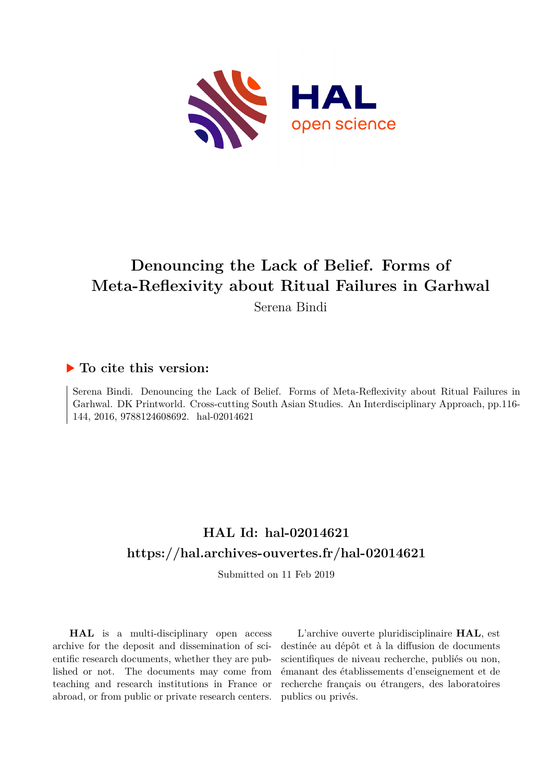

# **Denouncing the Lack of Belief. Forms of Meta-Reflexivity about Ritual Failures in Garhwal**

Serena Bindi

# **To cite this version:**

Serena Bindi. Denouncing the Lack of Belief. Forms of Meta-Reflexivity about Ritual Failures in Garhwal. DK Printworld. Cross-cutting South Asian Studies. An Interdisciplinary Approach, pp.116- 144, 2016, 9788124608692. hal-02014621

# **HAL Id: hal-02014621 <https://hal.archives-ouvertes.fr/hal-02014621>**

Submitted on 11 Feb 2019

**HAL** is a multi-disciplinary open access archive for the deposit and dissemination of scientific research documents, whether they are published or not. The documents may come from teaching and research institutions in France or abroad, or from public or private research centers.

L'archive ouverte pluridisciplinaire **HAL**, est destinée au dépôt et à la diffusion de documents scientifiques de niveau recherche, publiés ou non, émanant des établissements d'enseignement et de recherche français ou étrangers, des laboratoires publics ou privés.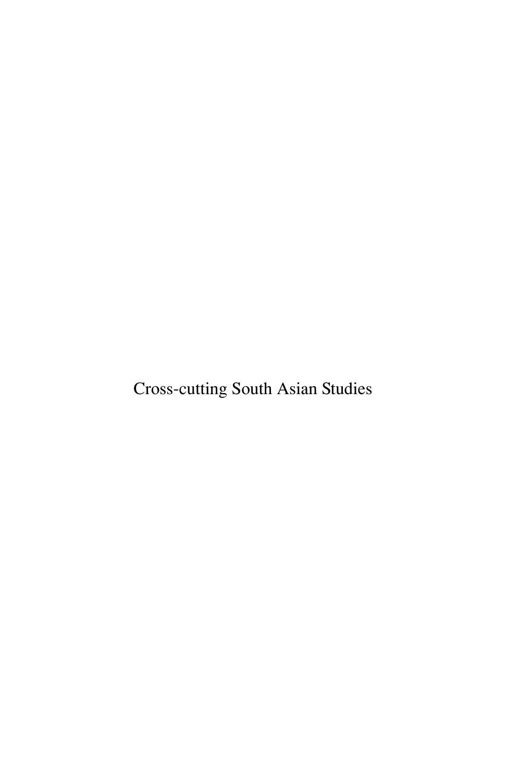Cross-cutting South Asian Studies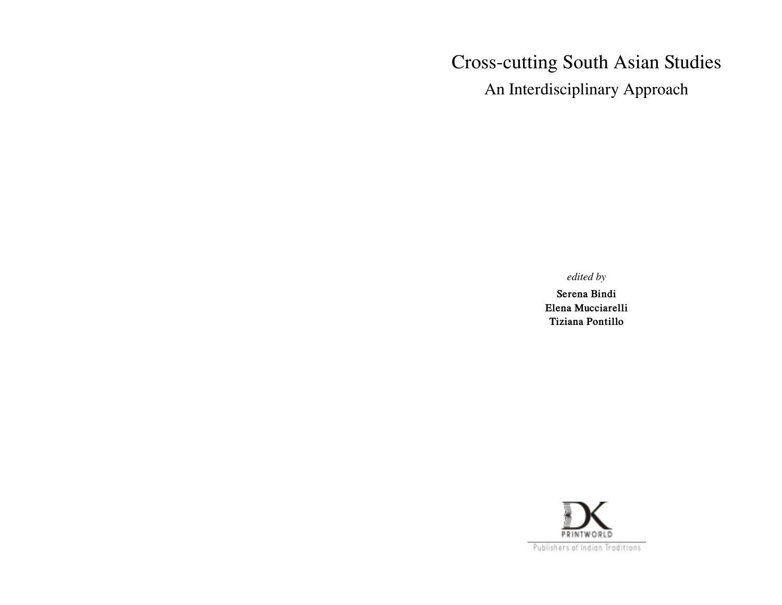# Cross-cutting South Asian Studies

An Interdisciplinary Approach

### *edited by*

**Serena Bindi Elena Mucciarelli Tiziana Pontillo**

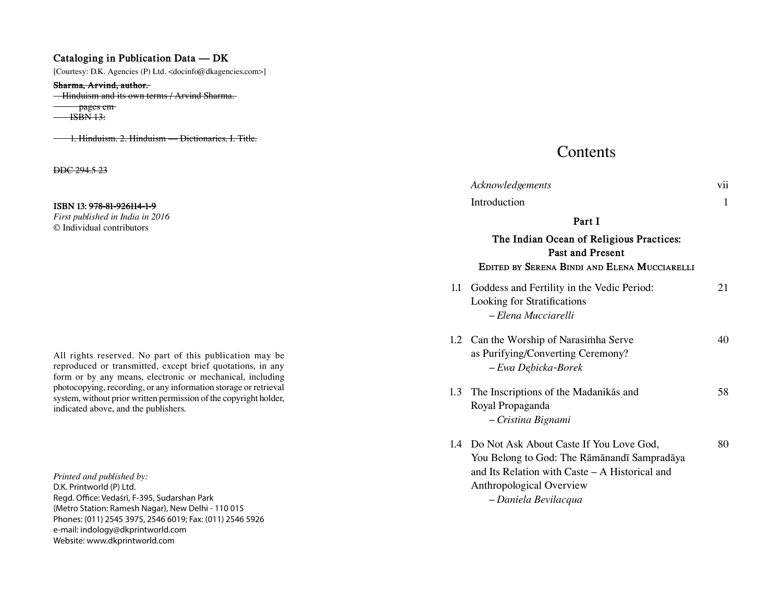### **Cataloging in Publication Data — DK**

[Courtesy: D.K. Agencies (P) Ltd. <docinfo@dkagencies.com>]

#### **Sharma, Arvind, author.**

**Hinduism and its own terms / Arvind Sharma.** 

 pages cm  $\overline{\text{HSBN}}$  13:

1. Hinduism. 2. Hinduism — Dictionaries. I. Title.

DDC 294.5 23

#### **ISBN 13: 978-81-926114-1-9**

*First published in India in 2016* © Individual contributors

All rights reserved. No part of this publication may be reproduced or transmitted, except brief quotations, in any form or by any means, electronic or mechanical, including photocopying, recording, or any information storage or retrieval system, without prior written permission of the copyright holder, indicated above, and the publishers.

*Printed and published by:* D.K. Printworld (P) Ltd. Regd. Office: Vedaśrī, F-395, Sudarshan Park (Metro Station: Ramesh Nagar), New Delhi - 110 015 Phones: (011) 2545 3975, 2546 6019; Fax: (011) 2546 5926 e-mail: indology@dkprintworld.com Website: www.dkprintworld.com

## **Contents**

|        | Acknowledgements                                                                                                                                                                                    | vii |  |  |
|--------|-----------------------------------------------------------------------------------------------------------------------------------------------------------------------------------------------------|-----|--|--|
|        | Introduction                                                                                                                                                                                        | 1   |  |  |
| Part I |                                                                                                                                                                                                     |     |  |  |
|        | The Indian Ocean of Religious Practices:<br><b>Past and Present</b><br>EDITED BY SERENA BINDI AND ELENA MUCCIARELLI                                                                                 |     |  |  |
| 1.1    | Goddess and Fertility in the Vedic Period:<br>Looking for Stratifications<br>– Elena Mucciarelli                                                                                                    | 21  |  |  |
|        | 1.2 Can the Worship of Narasimha Serve<br>as Purifying/Converting Ceremony?<br>- Ewa Dębicka-Borek                                                                                                  | 40  |  |  |
| 1.3    | The Inscriptions of the Madanikas and<br>Royal Propaganda<br>- Cristina Bignami                                                                                                                     | 58  |  |  |
| 1.4    | Do Not Ask About Caste If You Love God,<br>You Belong to God: The Rāmānandī Sampradāya<br>and Its Relation with Caste – A Historical and<br><b>Anthropological Overview</b><br>- Daniela Bevilacqua | 80  |  |  |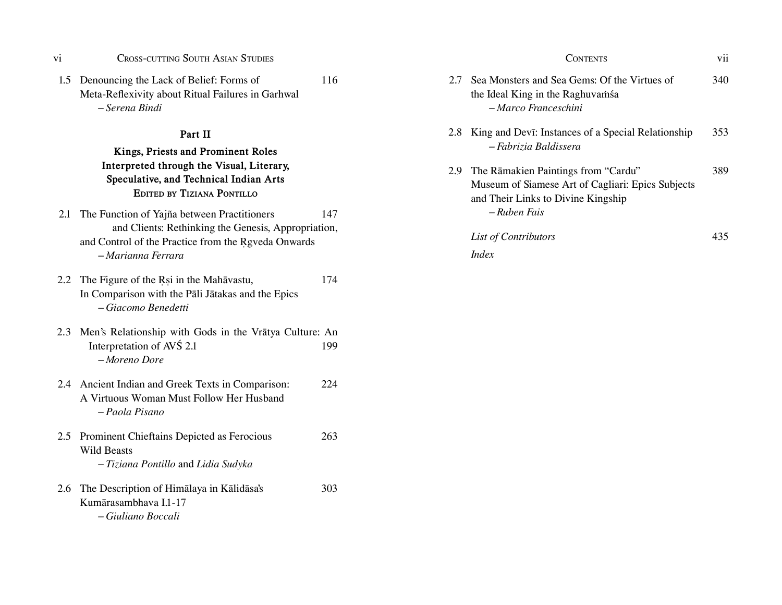| V1 | <b>CROSS-CUTTING SOUTH ASIAN STUDIES</b> |  |  |
|----|------------------------------------------|--|--|
|    |                                          |  |  |

#### **Part II**

## **Kings, Priests and Prominent Roles Interpreted through the Visual, Literary, Speculative, and Technical Indian Arts EditEd by tiziana Pontillo**

- 2.1 The Function of Yajña between Practitioners 147 and Clients: Rethinking the Genesis, Appropriation, and Control of the Practice from the Rgveda Onwards *– Marianna Ferrara*
- 2.2 The Figure of the Rsi in the Mahavastu, 174 In Comparison with the Pali Jatakas and the Epics *– Giacomo Benedetti*
- 2.3 Men's Relationship with Gods in the Vratya Culture: An Interpretation of AVŚ 2.1 199 *– Moreno Dore*
- 2.4 Ancient Indian and Greek Texts in Comparison: 224 A Virtuous Woman Must Follow Her Husband *– Paola Pisano*
- 2.5 Prominent Chieftains Depicted as Ferocious 263 Wild Beasts *– Tiziana Pontillo* and *Lidia Sudyka*
- 2.6 The Description of Himalaya in Kalidasa's 303 Kumarasambhava I.1-17 *– Giuliano Boccali*

| vi                                                                                                                 | <b>CROSS-CUTTING SOUTH ASIAN STUDIES</b> |     |     | <b>CONTENTS</b>                                                                                          | vii |
|--------------------------------------------------------------------------------------------------------------------|------------------------------------------|-----|-----|----------------------------------------------------------------------------------------------------------|-----|
| 1.5 Denouncing the Lack of Belief: Forms of<br>Meta-Reflexivity about Ritual Failures in Garhwal<br>- Serena Bindi |                                          | 116 | 2.7 | Sea Monsters and Sea Gems: Of the Virtues of<br>the Ideal King in the Raghuvamsa<br>- Marco Franceschini | 340 |
| Part II<br>Kings, Priests and Prominent Roles                                                                      |                                          |     |     | 2.8 King and Devi: Instances of a Special Relationship<br>- Fabrizia Baldissera                          | 353 |
|                                                                                                                    | Interpreted through the Visual I iterary |     |     |                                                                                                          |     |

2.9 The Rāmakien Paintings from "Cardu" 389 Museum of Siamese Art of Cagliari: Epics Subjects and Their Links to Divine Kingship *– Ruben Fais*

## *List of Contributors* 435 *Index*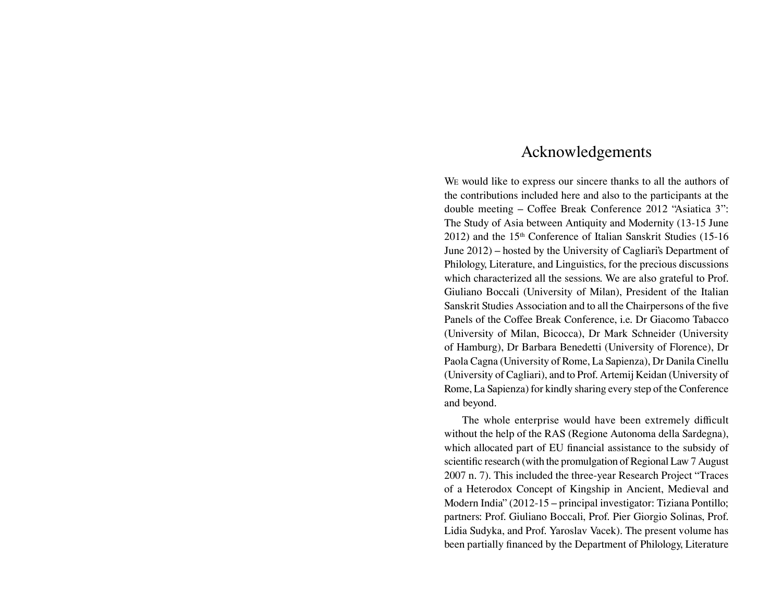# Acknowledgements

We would like to express our sincere thanks to all the authors of the contributions included here and also to the participants at the double meeting – Coffee Break Conference 2012 "Asiatica 3": The Study of Asia between Antiquity and Modernity (13-15 June 2012) and the 15<sup>th</sup> Conference of Italian Sanskrit Studies (15-16) June 2012) – hosted by the University of Cagliari's Department of Philology, Literature, and Linguistics, for the precious discussions which characterized all the sessions. We are also grateful to Prof. Giuliano Boccali (University of Milan), President of the Italian Sanskrit Studies Association and to all the Chairpersons of the fve Panels of the Coffee Break Conference, i.e. Dr Giacomo Tabacco (University of Milan, Bicocca), Dr Mark Schneider (University of Hamburg), Dr Barbara Benedetti (University of Florence), Dr Paola Cagna (University of Rome, La Sapienza), Dr Danila Cinellu (University of Cagliari), and to Prof. Artemij Keidan (University of Rome, La Sapienza) for kindly sharing every step of the Conference and beyond.

The whole enterprise would have been extremely difficult without the help of the RAS (Regione Autonoma della Sardegna), which allocated part of EU fnancial assistance to the subsidy of scientific research (with the promulgation of Regional Law 7 August 2007 n. 7). This included the three-year Research Project "Traces of a Heterodox Concept of Kingship in Ancient, Medieval and Modern India" (2012-15 – principal investigator: Tiziana Pontillo; partners: Prof. Giuliano Boccali, Prof. Pier Giorgio Solinas, Prof. Lidia Sudyka, and Prof. Yaroslav Vacek). The present volume has been partially fnanced by the Department of Philology, Literature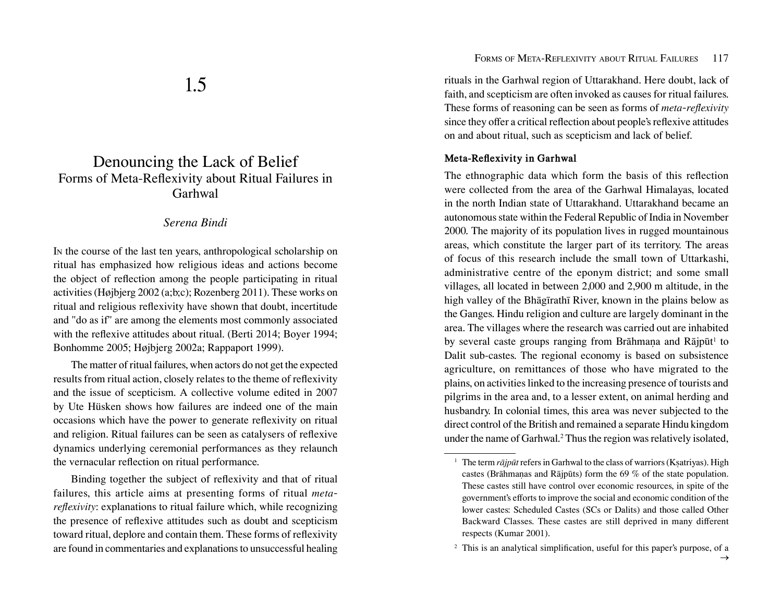# Denouncing the Lack of Belief Forms of Meta-Refexivity about Ritual Failures in Garhwal

### *Serena Bindi*

In the course of the last ten years, anthropological scholarship on ritual has emphasized how religious ideas and actions become the object of refection among the people participating in ritual activities (Højbjerg 2002 (a;b;c); Rozenberg 2011). These works on ritual and religious refexivity have shown that doubt, incertitude and "do as if" are among the elements most commonly associated with the refexive attitudes about ritual. (Berti 2014; Boyer 1994; Bonhomme 2005; Højbjerg 2002a; Rappaport 1999).

The matter of ritual failures, when actors do not get the expected results from ritual action, closely relates to the theme of refexivity and the issue of scepticism. A collective volume edited in 2007 by Ute Hüsken shows how failures are indeed one of the main occasions which have the power to generate refexivity on ritual and religion. Ritual failures can be seen as catalysers of refexive dynamics underlying ceremonial performances as they relaunch the vernacular refection on ritual performance.

Binding together the subject of refexivity and that of ritual failures, this article aims at presenting forms of ritual *metarefexivity*: explanations to ritual failure which, while recognizing the presence of refexive attitudes such as doubt and scepticism toward ritual, deplore and contain them. These forms of refexivity are found in commentaries and explanations to unsuccessful healing

rituals in the Garhwal region of Uttarakhand. Here doubt, lack of faith, and scepticism are often invoked as causes for ritual failures. These forms of reasoning can be seen as forms of *meta-refexivity* since they offer a critical reflection about people's reflexive attitudes on and about ritual, such as scepticism and lack of belief.

### **Meta-Refexivity in Garhwal**

The ethnographic data which form the basis of this refection were collected from the area of the Garhwal Himalayas, located in the north Indian state of Uttarakhand. Uttarakhand became an autonomous state within the Federal Republic of India in November 2000. The majority of its population lives in rugged mountainous areas, which constitute the larger part of its territory. The areas of focus of this research include the small town of Uttarkashi, administrative centre of the eponym district; and some small villages, all located in between 2,000 and 2,900 m altitude, in the high valley of the Bhāgīrathī River, known in the plains below as the Ganges. Hindu religion and culture are largely dominant in the area. The villages where the research was carried out are inhabited by several caste groups ranging from Brāhmaṇa and Rājpūt<sup>1</sup> to Dalit sub-castes. The regional economy is based on subsistence agriculture, on remittances of those who have migrated to the plains, on activities linked to the increasing presence of tourists and pilgrims in the area and, to a lesser extent, on animal herding and husbandry. In colonial times, this area was never subjected to the direct control of the British and remained a separate Hindu kingdom under the name of Garhwal.<sup>2</sup> Thus the region was relatively isolated,

<sup>&</sup>lt;sup>1</sup> The term *rājpūt* refers in Garhwal to the class of warriors (Ksatriyas). High castes (Brāhmaṇas and Rājpūts) form the 69 % of the state population. These castes still have control over economic resources, in spite of the government's efforts to improve the social and economic condition of the lower castes: Scheduled Castes (SCs or Dalits) and those called Other Backward Classes. These castes are still deprived in many diferent respects (Kumar 2001).

<sup>&</sup>lt;sup>2</sup> This is an analytical simplification, useful for this paper's purpose, of a

 $\rightarrow$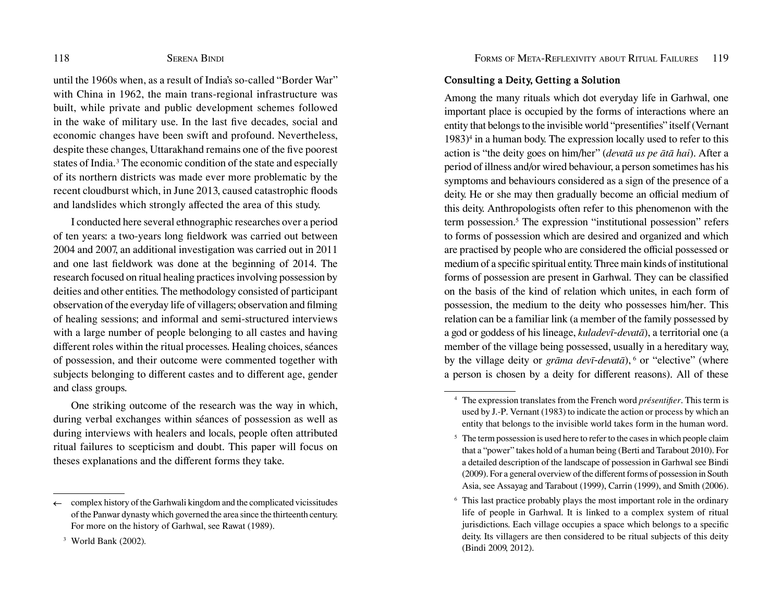until the 1960s when, as a result of India's so-called "Border War" with China in 1962, the main trans-regional infrastructure was built, while private and public development schemes followed in the wake of military use. In the last fve decades, social and economic changes have been swift and profound. Nevertheless, despite these changes, Uttarakhand remains one of the fve poorest states of India.<sup>3</sup> The economic condition of the state and especially of its northern districts was made ever more problematic by the recent cloudburst which, in June 2013, caused catastrophic foods and landslides which strongly afected the area of this study.

I conducted here several ethnographic researches over a period of ten years: a two-years long feldwork was carried out between 2004 and 2007, an additional investigation was carried out in 2011 and one last feldwork was done at the beginning of 2014. The research focused on ritual healing practices involving possession by deities and other entities. The methodology consisted of participant observation of the everyday life of villagers; observation and flming of healing sessions; and informal and semi-structured interviews with a large number of people belonging to all castes and having diferent roles within the ritual processes. Healing choices, séances of possession, and their outcome were commented together with subjects belonging to diferent castes and to diferent age, gender and class groups.

One striking outcome of the research was the way in which, during verbal exchanges within séances of possession as well as during interviews with healers and locals, people often attributed ritual failures to scepticism and doubt. This paper will focus on theses explanations and the diferent forms they take.

### **Consulting a Deity, Getting a Solution**

Among the many rituals which dot everyday life in Garhwal, one important place is occupied by the forms of interactions where an entity that belongs to the invisible world "presentifes" itself (Vernant 1983)4 in a human body. The expression locally used to refer to this action is "the deity goes on him/her" (*devatā us pe ātā hai*). After a period of illness and/or wired behaviour, a person sometimes has his symptoms and behaviours considered as a sign of the presence of a deity. He or she may then gradually become an official medium of this deity. Anthropologists often refer to this phenomenon with the term possession.<sup>5</sup> The expression "institutional possession" refers to forms of possession which are desired and organized and which are practised by people who are considered the official possessed or medium of a specifc spiritual entity. Three main kinds of institutional forms of possession are present in Garhwal. They can be classifed on the basis of the kind of relation which unites, in each form of possession, the medium to the deity who possesses him/her. This relation can be a familiar link (a member of the family possessed by a god or goddess of his lineage, *kuladevī-devatā*), a territorial one (a member of the village being possessed, usually in a hereditary way, by the village deity or *grāma devī-devatā*), <sup>6</sup> or "elective" (where a person is chosen by a deity for diferent reasons). All of these

 $\leftarrow$  complex history of the Garhwali kingdom and the complicated vicissitudes of the Panwar dynasty which governed the area since the thirteenth century. For more on the history of Garhwal, see Rawat (1989).

<sup>3</sup> World Bank (2002)*.*

<sup>4</sup> The expression translates from the French word *présentifer*. This term is used by J.-P. Vernant (1983) to indicate the action or process by which an entity that belongs to the invisible world takes form in the human word.

<sup>&</sup>lt;sup>5</sup> The term possession is used here to refer to the cases in which people claim that a "power" takes hold of a human being (Berti and Tarabout 2010). For a detailed description of the landscape of possession in Garhwal see Bindi (2009). For a general overview of the diferent forms of possession in South Asia, see Assayag and Tarabout (1999), Carrin (1999), and Smith (2006).

<sup>6</sup> This last practice probably plays the most important role in the ordinary life of people in Garhwal. It is linked to a complex system of ritual jurisdictions. Each village occupies a space which belongs to a specifc deity. Its villagers are then considered to be ritual subjects of this deity (Bindi 2009, 2012).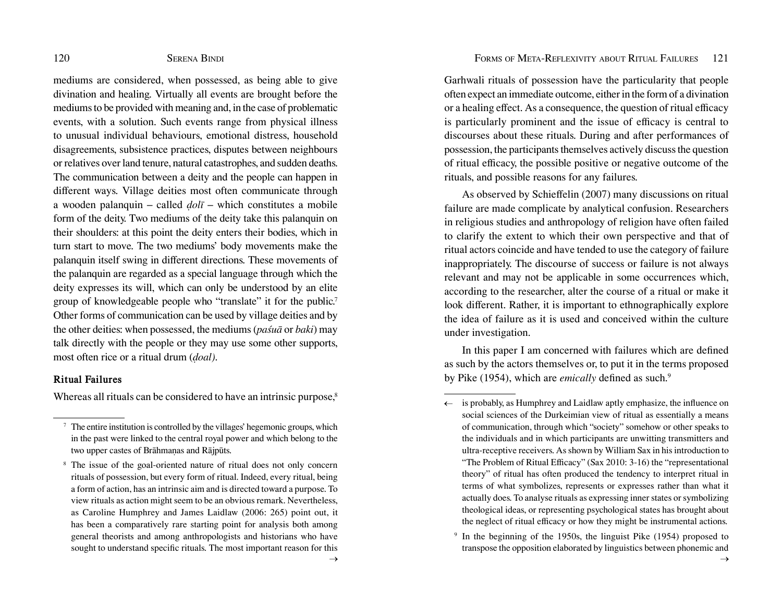mediums are considered, when possessed, as being able to give divination and healing. Virtually all events are brought before the mediums to be provided with meaning and, in the case of problematic events, with a solution. Such events range from physical illness to unusual individual behaviours, emotional distress, household disagreements, subsistence practices, disputes between neighbours or relatives over land tenure, natural catastrophes, and sudden deaths. The communication between a deity and the people can happen in diferent ways. Village deities most often communicate through a wooden palanquin – called *ḍolī* – which constitutes a mobile form of the deity. Two mediums of the deity take this palanquin on their shoulders: at this point the deity enters their bodies, which in turn start to move. The two mediums' body movements make the palanquin itself swing in diferent directions. These movements of the palanquin are regarded as a special language through which the deity expresses its will, which can only be understood by an elite group of knowledgeable people who "translate" it for the public.<sup>7</sup> Other forms of communication can be used by village deities and by the other deities: when possessed, the mediums (*paśuā* or *baki*) may talk directly with the people or they may use some other supports, most often rice or a ritual drum (*ḍoal)*.

### **Ritual Failures**

Whereas all rituals can be considered to have an intrinsic purpose,<sup>8</sup>

Garhwali rituals of possession have the particularity that people often expect an immediate outcome, either in the form of a divination or a healing effect. As a consequence, the question of ritual efficacy is particularly prominent and the issue of efficacy is central to discourses about these rituals. During and after performances of possession, the participants themselves actively discuss the question of ritual efficacy, the possible positive or negative outcome of the rituals, and possible reasons for any failures.

As observed by Schieffelin (2007) many discussions on ritual failure are made complicate by analytical confusion. Researchers in religious studies and anthropology of religion have often failed to clarify the extent to which their own perspective and that of ritual actors coincide and have tended to use the category of failure inappropriately. The discourse of success or failure is not always relevant and may not be applicable in some occurrences which, according to the researcher, alter the course of a ritual or make it look diferent. Rather, it is important to ethnographically explore the idea of failure as it is used and conceived within the culture under investigation.

In this paper I am concerned with failures which are defned as such by the actors themselves or, to put it in the terms proposed by Pike (1954), which are *emically* defined as such.<sup>9</sup>

 $\frac{7}{7}$  The entire institution is controlled by the villages' hegemonic groups, which in the past were linked to the central royal power and which belong to the two upper castes of Brāhmaṇas and Rājpūts.

<sup>8</sup> The issue of the goal-oriented nature of ritual does not only concern rituals of possession, but every form of ritual. Indeed, every ritual, being a form of action, has an intrinsic aim and is directed toward a purpose. To view rituals as action might seem to be an obvious remark. Nevertheless, as Caroline Humphrey and James Laidlaw (2006: 265) point out, it has been a comparatively rare starting point for analysis both among general theorists and among anthropologists and historians who have sought to understand specifc rituals. The most important reason for this

 $\leftarrow$  is probably, as Humphrey and Laidlaw aptly emphasize, the influence on social sciences of the Durkeimian view of ritual as essentially a means of communication, through which "society" somehow or other speaks to the individuals and in which participants are unwitting transmitters and ultra-receptive receivers. As shown by William Sax in his introduction to "The Problem of Ritual Efficacy" (Sax 2010: 3-16) the "representational theory" of ritual has often produced the tendency to interpret ritual in terms of what symbolizes, represents or expresses rather than what it actually does. To analyse rituals as expressing inner states or symbolizing theological ideas, or representing psychological states has brought about the neglect of ritual efficacy or how they might be instrumental actions.

<sup>9</sup> In the beginning of the 1950s, the linguist Pike (1954) proposed to transpose the opposition elaborated by linguistics between phonemic and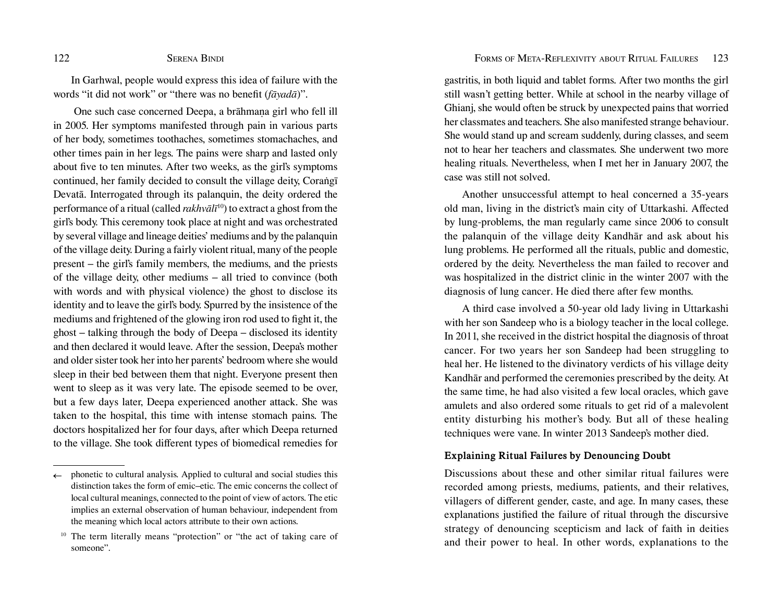In Garhwal, people would express this idea of failure with the words "it did not work" or "there was no beneft (*fāyadā*)".

 One such case concerned Deepa, a brāhmaṇa girl who fell ill in 2005. Her symptoms manifested through pain in various parts of her body, sometimes toothaches, sometimes stomachaches, and other times pain in her legs. The pains were sharp and lasted only about fve to ten minutes. After two weeks, as the girl's symptoms continued, her family decided to consult the village deity, Coraṅgī Devatā. Interrogated through its palanquin, the deity ordered the performance of a ritual (called *rakhvālī*<sup>10</sup>) to extract a ghost from the girl's body. This ceremony took place at night and was orchestrated by several village and lineage deities' mediums and by the palanquin of the village deity. During a fairly violent ritual, many of the people present – the girl's family members, the mediums, and the priests of the village deity, other mediums – all tried to convince (both with words and with physical violence) the ghost to disclose its identity and to leave the girl's body. Spurred by the insistence of the mediums and frightened of the glowing iron rod used to fght it, the ghost – talking through the body of Deepa – disclosed its identity and then declared it would leave. After the session, Deepa's mother and older sister took her into her parents' bedroom where she would sleep in their bed between them that night. Everyone present then went to sleep as it was very late. The episode seemed to be over, but a few days later, Deepa experienced another attack. She was taken to the hospital, this time with intense stomach pains. The doctors hospitalized her for four days, after which Deepa returned to the village. She took diferent types of biomedical remedies for

gastritis, in both liquid and tablet forms. After two months the girl still wasn't getting better. While at school in the nearby village of Ghianj, she would often be struck by unexpected pains that worried her classmates and teachers. She also manifested strange behaviour. She would stand up and scream suddenly, during classes, and seem not to hear her teachers and classmates. She underwent two more healing rituals. Nevertheless, when I met her in January 2007, the case was still not solved.

Another unsuccessful attempt to heal concerned a 35-years old man, living in the district's main city of Uttarkashi. Afected by lung-problems, the man regularly came since 2006 to consult the palanquin of the village deity Kandhār and ask about his lung problems. He performed all the rituals, public and domestic, ordered by the deity. Nevertheless the man failed to recover and was hospitalized in the district clinic in the winter 2007 with the diagnosis of lung cancer. He died there after few months.

A third case involved a 50-year old lady living in Uttarkashi with her son Sandeep who is a biology teacher in the local college. In 2011, she received in the district hospital the diagnosis of throat cancer. For two years her son Sandeep had been struggling to heal her. He listened to the divinatory verdicts of his village deity Kandhār and performed the ceremonies prescribed by the deity. At the same time, he had also visited a few local oracles, which gave amulets and also ordered some rituals to get rid of a malevolent entity disturbing his mother's body. But all of these healing techniques were vane. In winter 2013 Sandeep's mother died.

#### **Explaining Ritual Failures by Denouncing Doubt**

Discussions about these and other similar ritual failures were recorded among priests, mediums, patients, and their relatives, villagers of diferent gender, caste, and age. In many cases, these explanations justifed the failure of ritual through the discursive strategy of denouncing scepticism and lack of faith in deities and their power to heal. In other words, explanations to the

 $\leftarrow$  phonetic to cultural analysis. Applied to cultural and social studies this distinction takes the form of emic–etic. The emic concerns the collect of local cultural meanings, connected to the point of view of actors. The etic implies an external observation of human behaviour, independent from the meaning which local actors attribute to their own actions.

The term literally means "protection" or "the act of taking care of someone".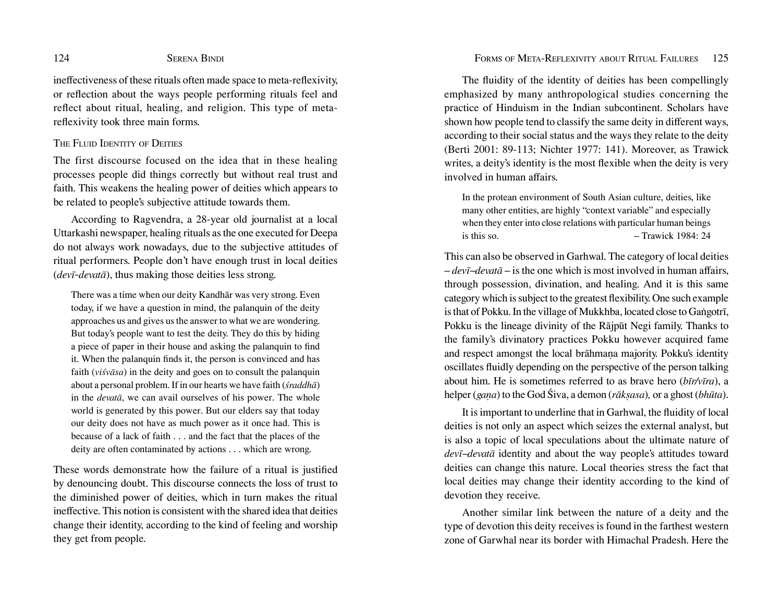inefectiveness of these rituals often made space to meta-refexivity, or refection about the ways people performing rituals feel and refect about ritual, healing, and religion. This type of metarefexivity took three main forms.

### THE FLUID IDENTITY OF DEITIES

The first discourse focused on the idea that in these healing processes people did things correctly but without real trust and faith. This weakens the healing power of deities which appears to be related to people's subjective attitude towards them.

According to Ragvendra, a 28-year old journalist at a local Uttarkashi newspaper, healing rituals as the one executed for Deepa do not always work nowadays, due to the subjective attitudes of ritual performers. People don't have enough trust in local deities (*devī-devatā*), thus making those deities less strong.

There was a time when our deity Kandhār was very strong. Even today, if we have a question in mind, the palanquin of the deity approaches us and gives us the answer to what we are wondering. But today's people want to test the deity. They do this by hiding a piece of paper in their house and asking the palanquin to fnd it. When the palanquin fnds it, the person is convinced and has faith (*viśvāsa*) in the deity and goes on to consult the palanquin about a personal problem. If in our hearts we have faith (*śraddhā*) in the *devatā*, we can avail ourselves of his power. The whole world is generated by this power. But our elders say that today our deity does not have as much power as it once had. This is because of a lack of faith . . . and the fact that the places of the deity are often contaminated by actions . . . which are wrong.

These words demonstrate how the failure of a ritual is justifed by denouncing doubt. This discourse connects the loss of trust to the diminished power of deities, which in turn makes the ritual inefective. This notion is consistent with the shared idea that deities change their identity, according to the kind of feeling and worship they get from people.

The fuidity of the identity of deities has been compellingly emphasized by many anthropological studies concerning the practice of Hinduism in the Indian subcontinent. Scholars have shown how people tend to classify the same deity in diferent ways, according to their social status and the ways they relate to the deity (Berti 2001: 89-113; Nichter 1977: 141). Moreover, as Trawick writes, a deity's identity is the most fexible when the deity is very involved in human afairs.

In the protean environment of South Asian culture, deities, like many other entities, are highly "context variable" and especially when they enter into close relations with particular human beings is this so.  $-$  Trawick 1984: 24

This can also be observed in Garhwal. The category of local deities  $-devi$ <sup>-</sup>*devatā* – is the one which is most involved in human affairs, through possession, divination, and healing. And it is this same category which is subject to the greatest fexibility. One such example is that of Pokku. In the village of Mukkhba, located close to Gaṅgotrī, Pokku is the lineage divinity of the Rājpūt Negi family. Thanks to the family's divinatory practices Pokku however acquired fame and respect amongst the local brāhmana majority. Pokku's identity oscillates fuidly depending on the perspective of the person talking about him. He is sometimes referred to as brave hero (*bīr/vīra*), a helper (*gaṇa*) to the God Śiva, a demon (*rākṣasa*)*,* or a ghost (*bhūta*).

It is important to underline that in Garhwal, the fuidity of local deities is not only an aspect which seizes the external analyst, but is also a topic of local speculations about the ultimate nature of *devī–devatā* identity and about the way people's attitudes toward deities can change this nature. Local theories stress the fact that local deities may change their identity according to the kind of devotion they receive.

Another similar link between the nature of a deity and the type of devotion this deity receives is found in the farthest western zone of Garwhal near its border with Himachal Pradesh. Here the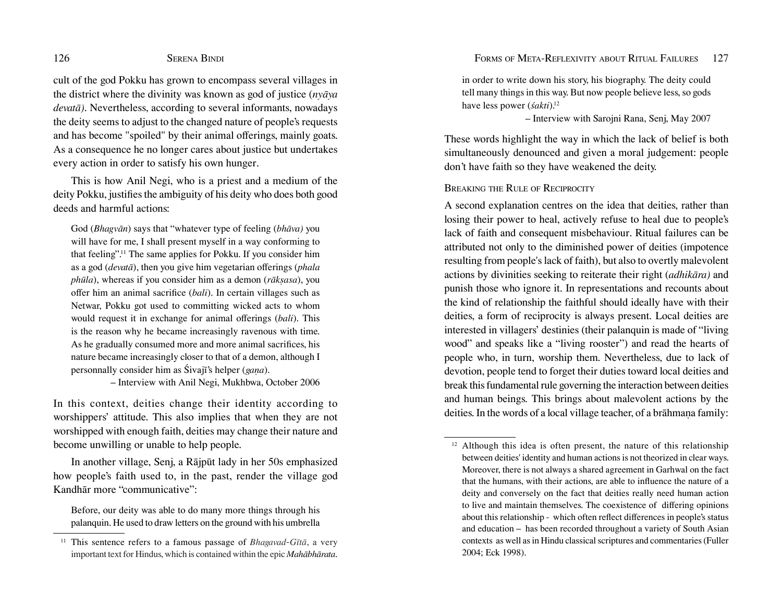cult of the god Pokku has grown to encompass several villages in the district where the divinity was known as god of justice (*nyāya devatā)*. Nevertheless, according to several informants, nowadays the deity seems to adjust to the changed nature of people's requests and has become "spoiled" by their animal offerings, mainly goats. As a consequence he no longer cares about justice but undertakes every action in order to satisfy his own hunger.

This is how Anil Negi, who is a priest and a medium of the deity Pokku, justifes the ambiguity of his deity who does both good deeds and harmful actions:

God (*Bhagvān*) says that "whatever type of feeling (*bhāva)* you will have for me, I shall present myself in a way conforming to that feeling".<sup>11</sup> The same applies for Pokku. If you consider him as a god (*devatā*), then you give him vegetarian oferings (*phala phūla*), whereas if you consider him as a demon (*rākṣasa*), you ofer him an animal sacrifce (*bali*). In certain villages such as Netwar, Pokku got used to committing wicked acts to whom would request it in exchange for animal offerings (*bali*). This is the reason why he became increasingly ravenous with time. As he gradually consumed more and more animal sacrifces, his nature became increasingly closer to that of a demon, although I personnally consider him as Śivajī's helper (*gaṇa*).

– Interview with Anil Negi, Mukhbwa, October 2006

In this context, deities change their identity according to worshippers' attitude. This also implies that when they are not worshipped with enough faith, deities may change their nature and become unwilling or unable to help people.

In another village, Senj, a Rājpūt lady in her 50s emphasized how people's faith used to, in the past, render the village god Kandhār more "communicative":

Before, our deity was able to do many more things through his palanquin. He used to draw letters on the ground with his umbrella

in order to write down his story, his biography. The deity could tell many things in this way. But now people believe less, so gods have less power (*śakti*).12

– Interview with Sarojni Rana, Senj, May 2007

These words highlight the way in which the lack of belief is both simultaneously denounced and given a moral judgement: people don't have faith so they have weakened the deity.

### BREAKING THE RULE OF RECIPROCITY

A second explanation centres on the idea that deities, rather than losing their power to heal, actively refuse to heal due to people's lack of faith and consequent misbehaviour. Ritual failures can be attributed not only to the diminished power of deities (impotence resulting from people's lack of faith), but also to overtly malevolent actions by divinities seeking to reiterate their right (*adhikāra)* and punish those who ignore it. In representations and recounts about the kind of relationship the faithful should ideally have with their deities, a form of reciprocity is always present. Local deities are interested in villagers' destinies (their palanquin is made of "living wood" and speaks like a "living rooster") and read the hearts of people who, in turn, worship them. Nevertheless, due to lack of devotion, people tend to forget their duties toward local deities and break this fundamental rule governing the interaction between deities and human beings. This brings about malevolent actions by the deities. In the words of a local village teacher, of a brāhmana family:

<sup>11</sup> This sentence refers to a famous passage of *Bhagavad-Gītā*, a very important text for Hindus, which is contained within the epic *Mahābhārata*.

 $12$  Although this idea is often present, the nature of this relationship between deities' identity and human actions is not theorized in clear ways. Moreover, there is not always a shared agreement in Garhwal on the fact that the humans, with their actions, are able to infuence the nature of a deity and conversely on the fact that deities really need human action to live and maintain themselves. The coexistence of difering opinions about this relationship - which often refect diferences in people's status and education – has been recorded throughout a variety of South Asian contexts as well as in Hindu classical scriptures and commentaries (Fuller 2004; Eck 1998).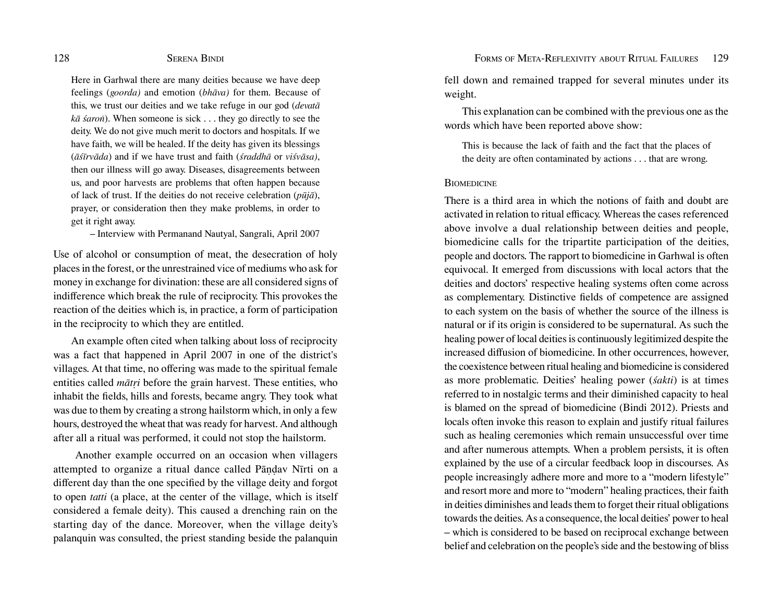Here in Garhwal there are many deities because we have deep feelings (*goorda)* and emotion (*bhāva)* for them. Because of this, we trust our deities and we take refuge in our god (*devatā kā śaroṅ*). When someone is sick . . . they go directly to see the deity. We do not give much merit to doctors and hospitals. If we have faith, we will be healed. If the deity has given its blessings (*āśīrvāda*) and if we have trust and faith (*śraddhā* or *viśvāsa)*, then our illness will go away. Diseases, disagreements between us, and poor harvests are problems that often happen because of lack of trust. If the deities do not receive celebration (*pūjā*), prayer, or consideration then they make problems, in order to get it right away.

– Interview with Permanand Nautyal, Sangrali, April 2007

Use of alcohol or consumption of meat, the desecration of holy places in the forest, or the unrestrained vice of mediums who ask for money in exchange for divination: these are all considered signs of indiference which break the rule of reciprocity. This provokes the reaction of the deities which is, in practice, a form of participation in the reciprocity to which they are entitled.

An example often cited when talking about loss of reciprocity was a fact that happened in April 2007 in one of the district's villages. At that time, no ofering was made to the spiritual female entities called *mātṛi* before the grain harvest. These entities, who inhabit the felds, hills and forests, became angry. They took what was due to them by creating a strong hailstorm which, in only a few hours, destroyed the wheat that was ready for harvest. And although after all a ritual was performed, it could not stop the hailstorm.

 Another example occurred on an occasion when villagers attempted to organize a ritual dance called Pāṇḍav Nīrti on a diferent day than the one specifed by the village deity and forgot to open *tatti* (a place, at the center of the village, which is itself considered a female deity). This caused a drenching rain on the starting day of the dance. Moreover, when the village deity's palanquin was consulted, the priest standing beside the palanquin

fell down and remained trapped for several minutes under its weight.

This explanation can be combined with the previous one as the words which have been reported above show:

This is because the lack of faith and the fact that the places of the deity are often contaminated by actions . . . that are wrong.

#### **BIOMEDICINE**

There is a third area in which the notions of faith and doubt are activated in relation to ritual efficacy. Whereas the cases referenced above involve a dual relationship between deities and people, biomedicine calls for the tripartite participation of the deities, people and doctors. The rapport to biomedicine in Garhwal is often equivocal. It emerged from discussions with local actors that the deities and doctors' respective healing systems often come across as complementary. Distinctive felds of competence are assigned to each system on the basis of whether the source of the illness is natural or if its origin is considered to be supernatural. As such the healing power of local deities is continuously legitimized despite the increased difusion of biomedicine. In other occurrences, however, the coexistence between ritual healing and biomedicine is considered as more problematic. Deities' healing power (*śakti*) is at times referred to in nostalgic terms and their diminished capacity to heal is blamed on the spread of biomedicine (Bindi 2012). Priests and locals often invoke this reason to explain and justify ritual failures such as healing ceremonies which remain unsuccessful over time and after numerous attempts. When a problem persists, it is often explained by the use of a circular feedback loop in discourses. As people increasingly adhere more and more to a "modern lifestyle" and resort more and more to "modern" healing practices, their faith in deities diminishes and leads them to forget their ritual obligations towards the deities. As a consequence, the local deities' power to heal – which is considered to be based on reciprocal exchange between belief and celebration on the people's side and the bestowing of bliss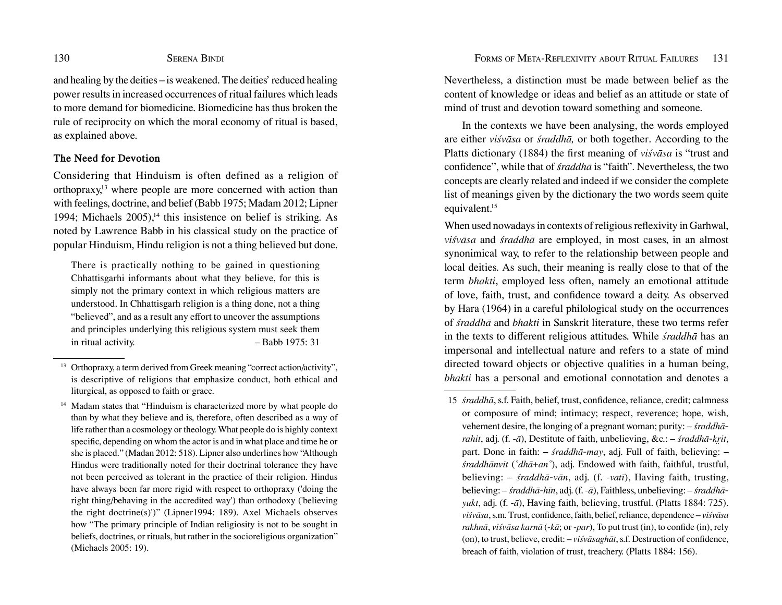and healing by the deities – is weakened. The deities' reduced healing power results in increased occurrences of ritual failures which leads to more demand for biomedicine. Biomedicine has thus broken the rule of reciprocity on which the moral economy of ritual is based, as explained above.

### **The Need for Devotion**

Considering that Hinduism is often defined as a religion of orthopraxy,<sup>13</sup> where people are more concerned with action than with feelings, doctrine, and belief (Babb 1975; Madam 2012; Lipner 1994; Michaels  $2005$ ,<sup>14</sup> this insistence on belief is striking. As noted by Lawrence Babb in his classical study on the practice of popular Hinduism, Hindu religion is not a thing believed but done.

There is practically nothing to be gained in questioning Chhattisgarhi informants about what they believe, for this is simply not the primary context in which religious matters are understood. In Chhattisgarh religion is a thing done, not a thing "believed", and as a result any effort to uncover the assumptions and principles underlying this religious system must seek them in ritual activity. – Babb 1975: 31

Nevertheless, a distinction must be made between belief as the content of knowledge or ideas and belief as an attitude or state of mind of trust and devotion toward something and someone.

In the contexts we have been analysing, the words employed are either *viśvāsa* or *śraddhā,* or both together. According to the Platts dictionary (1884) the frst meaning of *viśvāsa* is "trust and confdence", while that of *śraddhā* is "faith". Nevertheless, the two concepts are clearly related and indeed if we consider the complete list of meanings given by the dictionary the two words seem quite equivalent.<sup>15</sup>

When used nowadays in contexts of religious refexivity in Garhwal, *viśvāsa* and *śraddhā* are employed, in most cases, in an almost synonimical way, to refer to the relationship between people and local deities. As such, their meaning is really close to that of the term *bhakti*, employed less often, namely an emotional attitude of love, faith, trust, and confdence toward a deity. As observed by Hara (1964) in a careful philological study on the occurrences of *śraddhā* and *bhakti* in Sanskrit literature, these two terms refer in the texts to diferent religious attitudes. While *śraddhā* has an impersonal and intellectual nature and refers to a state of mind directed toward objects or objective qualities in a human being, *bhakti* has a personal and emotional connotation and denotes a

<sup>&</sup>lt;sup>13</sup> Orthopraxy, a term derived from Greek meaning "correct action/activity", is descriptive of religions that emphasize conduct, both ethical and liturgical, as opposed to faith or grace.

<sup>&</sup>lt;sup>14</sup> Madam states that "Hinduism is characterized more by what people do than by what they believe and is, therefore, often described as a way of life rather than a cosmology or theology. What people do is highly context specifc, depending on whom the actor is and in what place and time he or she is placed." (Madan 2012: 518). Lipner also underlines how "Although Hindus were traditionally noted for their doctrinal tolerance they have not been perceived as tolerant in the practice of their religion. Hindus have always been far more rigid with respect to orthopraxy ('doing the right thing/behaving in the accredited way') than orthodoxy ('believing the right doctrine(s)')" (Lipner1994: 189). Axel Michaels observes how "The primary principle of Indian religiosity is not to be sought in beliefs, doctrines, or rituals, but rather in the socioreligious organization" (Michaels 2005: 19).

<sup>15</sup> *śraddhā*, s.f. Faith, belief, trust, confdence, reliance, credit; calmness or composure of mind; intimacy; respect, reverence; hope, wish, vehement desire, the longing of a pregnant woman; purity: – *śraddhārahit*, adj. (f. -*ā*), Destitute of faith, unbelieving, &c.: – *śraddhā-kr̤it*, part. Done in faith: – *śraddhā-may*, adj. Full of faith, believing: – *śraddhānvit* (*˚dhā*+*an˚*), adj. Endowed with faith, faithful, trustful, believing: – *śraddhā-vān*, adj. (f. -*vatī*), Having faith, trusting, believing: – *śraddhā-hīn*, adj. (f. -*ā*), Faithless, unbelieving: – *śraddhāyukt*, adj. (f. -*ā*), Having faith, believing, trustful. (Platts 1884: 725). *viśvāsa*, s.m. Trust, confdence, faith, belief, reliance, dependence – *viśvāsa rakhnā*, *viśvāsa karnā* (-*kā*; or -*par*), To put trust (in), to confde (in), rely (on), to trust, believe, credit: – *viśvāsaghāt*, s.f. Destruction of confdence, breach of faith, violation of trust, treachery. (Platts 1884: 156).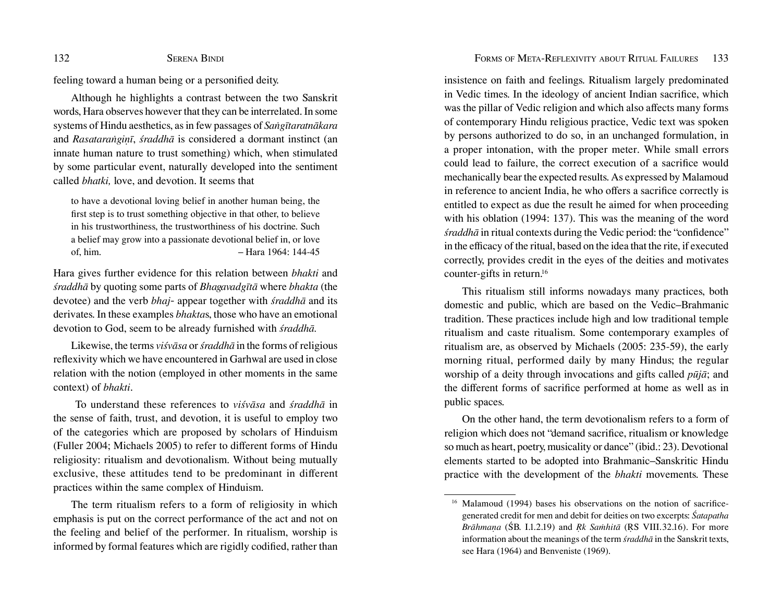#### 132 SERENA BINDI SERENA BINDI SERENA BINDI SERENA SERENA SERENA TELESA EL ENCARGO EN EL ENCARGO EN EL ENCARGO EN EL ENCARGO EN EL ENCARGO EN EL ENCARGO EN EL ENCARGO EN EL ENCARGO EN EL ENCARGO EN EL ENCARGO EN EL ENCARGO

feeling toward a human being or a personifed deity.

Although he highlights a contrast between the two Sanskrit words, Hara observes however that they can be interrelated. In some systems of Hindu aesthetics, as in few passages of *Saṅgītaratnākara* and *Rasataraṅgiṇī*, *śraddhā* is considered a dormant instinct (an innate human nature to trust something) which, when stimulated by some particular event, naturally developed into the sentiment called *bhatki,* love, and devotion. It seems that

to have a devotional loving belief in another human being, the frst step is to trust something objective in that other, to believe in his trustworthiness, the trustworthiness of his doctrine. Such a belief may grow into a passionate devotional belief in, or love of, him. – Hara 1964: 144-45

Hara gives further evidence for this relation between *bhakti* and *śraddhā* by quoting some parts of *Bhagavadgītā* where *bhakta* (the devotee) and the verb *bhaj-* appear together with *śraddhā* and its derivates. In these examples *bhakta*s, those who have an emotional devotion to God, seem to be already furnished with *śraddhā.* 

Likewise, the terms *viśvāsa* or *śraddhā* in the forms of religious refexivity which we have encountered in Garhwal are used in close relation with the notion (employed in other moments in the same context) of *bhakti*.

 To understand these references to *viśvāsa* and *śraddhā* in the sense of faith, trust, and devotion, it is useful to employ two of the categories which are proposed by scholars of Hinduism (Fuller 2004; Michaels 2005) to refer to diferent forms of Hindu religiosity: ritualism and devotionalism. Without being mutually exclusive, these attitudes tend to be predominant in diferent practices within the same complex of Hinduism.

The term ritualism refers to a form of religiosity in which emphasis is put on the correct performance of the act and not on the feeling and belief of the performer. In ritualism, worship is informed by formal features which are rigidly codifed, rather than

insistence on faith and feelings. Ritualism largely predominated in Vedic times. In the ideology of ancient Indian sacrifce, which was the pillar of Vedic religion and which also afects many forms of contemporary Hindu religious practice, Vedic text was spoken by persons authorized to do so, in an unchanged formulation, in a proper intonation, with the proper meter. While small errors could lead to failure, the correct execution of a sacrifce would mechanically bear the expected results. As expressed by Malamoud in reference to ancient India, he who offers a sacrifice correctly is entitled to expect as due the result he aimed for when proceeding with his oblation (1994: 137). This was the meaning of the word *śraddhā* in ritual contexts during the Vedic period: the "confdence" in the efficacy of the ritual, based on the idea that the rite, if executed correctly, provides credit in the eyes of the deities and motivates counter-gifts in return.<sup>16</sup>

This ritualism still informs nowadays many practices, both domestic and public, which are based on the Vedic–Brahmanic tradition. These practices include high and low traditional temple ritualism and caste ritualism. Some contemporary examples of ritualism are, as observed by Michaels (2005: 235-59), the early morning ritual, performed daily by many Hindus; the regular worship of a deity through invocations and gifts called *pūjā*; and the diferent forms of sacrifce performed at home as well as in public spaces.

On the other hand, the term devotionalism refers to a form of religion which does not "demand sacrifce, ritualism or knowledge so much as heart, poetry, musicality or dance" (ibid.: 23). Devotional elements started to be adopted into Brahmanic–Sanskritic Hindu practice with the development of the *bhakti* movements. These

<sup>&</sup>lt;sup>16</sup> Malamoud (1994) bases his observations on the notion of sacrificegenerated credit for men and debit for deities on two excerpts: *Śatapatha Brāhmaṇa* (ŚB. I.1.2.19) and *Ṛk Saṁhitā* (ṚS VIII.32.16). For more information about the meanings of the term *śraddhā* in the Sanskrit texts, see Hara (1964) and Benveniste (1969).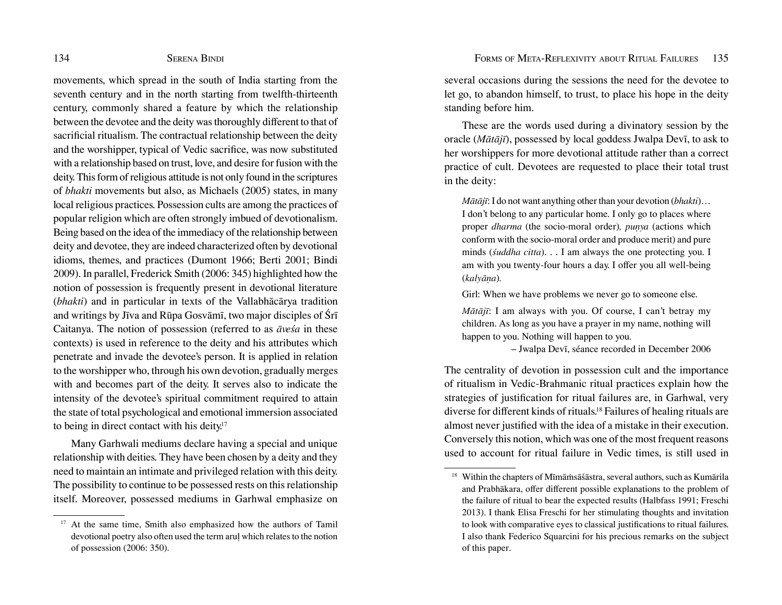movements, which spread in the south of India starting from the seventh century and in the north starting from twelfth-thirteenth century, commonly shared a feature by which the relationship between the devotee and the deity was thoroughly diferent to that of sacrifcial ritualism. The contractual relationship between the deity and the worshipper, typical of Vedic sacrifce, was now substituted with a relationship based on trust, love, and desire for fusion with the deity. This form of religious attitude is not only found in the scriptures of *bhakti* movements but also, as Michaels (2005) states, in many local religious practices. Possession cults are among the practices of popular religion which are often strongly imbued of devotionalism. Being based on the idea of the immediacy of the relationship between deity and devotee, they are indeed characterized often by devotional idioms, themes, and practices (Dumont 1966; Berti 2001; Bindi 2009). In parallel, Frederick Smith (2006: 345) highlighted how the notion of possession is frequently present in devotional literature (*bhakti*) and in particular in texts of the Vallabhācārya tradition and writings by Jīva and Rūpa Gosvāmī, two major disciples of Śrī Caitanya. The notion of possession (referred to as *āveśa* in these contexts) is used in reference to the deity and his attributes which penetrate and invade the devotee's person. It is applied in relation to the worshipper who, through his own devotion, gradually merges with and becomes part of the deity. It serves also to indicate the intensity of the devotee's spiritual commitment required to attain the state of total psychological and emotional immersion associated to being in direct contact with his deity.<sup>17</sup>

Many Garhwali mediums declare having a special and unique relationship with deities. They have been chosen by a deity and they need to maintain an intimate and privileged relation with this deity. The possibility to continue to be possessed rests on this relationship itself. Moreover, possessed mediums in Garhwal emphasize on several occasions during the sessions the need for the devotee to let go, to abandon himself, to trust, to place his hope in the deity standing before him.

These are the words used during a divinatory session by the oracle (*Mātājī*), possessed by local goddess Jwalpa Devī, to ask to her worshippers for more devotional attitude rather than a correct practice of cult. Devotees are requested to place their total trust in the deity:

*Mātājī*: I do not want anything other than your devotion (*bhakti*)… I don't belong to any particular home. I only go to places where proper *dharma* (the socio-moral order)*, puṇya* (actions which conform with the socio-moral order and produce merit) and pure minds (*śuddha citta*). . . I am always the one protecting you. I am with you twenty-four hours a day. I offer you all well-being (*kalyāṇa*)*.*

Girl: When we have problems we never go to someone else.

*Mātājī*: I am always with you. Of course, I can't betray my children. As long as you have a prayer in my name, nothing will happen to you. Nothing will happen to you*.*

– Jwalpa Devī, séance recorded in December 2006

The centrality of devotion in possession cult and the importance of ritualism in Vedic-Brahmanic ritual practices explain how the strategies of justifcation for ritual failures are, in Garhwal, very diverse for diferent kinds of rituals.18 Failures of healing rituals are almost never justifed with the idea of a mistake in their execution. Conversely this notion, which was one of the most frequent reasons used to account for ritual failure in Vedic times, is still used in

At the same time, Smith also emphasized how the authors of Tamil devotional poetry also often used the term aruḷ which relates to the notion of possession (2006: 350).

<sup>18</sup> Within the chapters of Mīmāṁsāśāstra, several authors, such as Kumārila and Prabhākara, offer different possible explanations to the problem of the failure of ritual to bear the expected results (Halbfass 1991; Freschi 2013). I thank Elisa Freschi for her stimulating thoughts and invitation to look with comparative eyes to classical justifcations to ritual failures. I also thank Federico Squarcini for his precious remarks on the subject of this paper.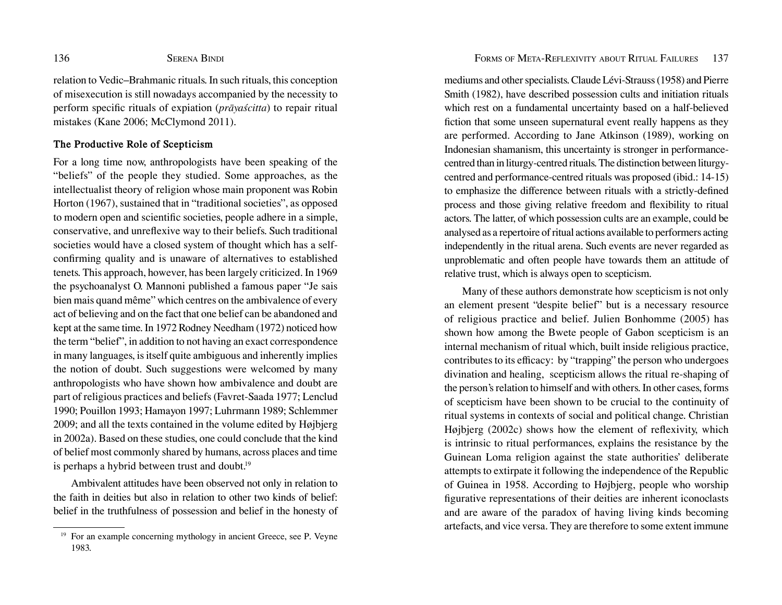relation to Vedic–Brahmanic rituals. In such rituals, this conception of misexecution is still nowadays accompanied by the necessity to perform specifc rituals of expiation (*prāyaścitta*) to repair ritual mistakes (Kane 2006; McClymond 2011).

### **The Productive Role of Scepticism**

For a long time now, anthropologists have been speaking of the "beliefs" of the people they studied. Some approaches, as the intellectualist theory of religion whose main proponent was Robin Horton (1967), sustained that in "traditional societies", as opposed to modern open and scientifc societies, people adhere in a simple, conservative, and unrefexive way to their beliefs. Such traditional societies would have a closed system of thought which has a selfconfrming quality and is unaware of alternatives to established tenets. This approach, however, has been largely criticized. In 1969 the psychoanalyst O. Mannoni published a famous paper "Je sais bien mais quand même" which centres on the ambivalence of every act of believing and on the fact that one belief can be abandoned and kept at the same time. In 1972 Rodney Needham (1972) noticed how the term "belief", in addition to not having an exact correspondence in many languages, is itself quite ambiguous and inherently implies the notion of doubt. Such suggestions were welcomed by many anthropologists who have shown how ambivalence and doubt are part of religious practices and beliefs (Favret-Saada 1977; Lenclud 1990; Pouillon 1993; Hamayon 1997; Luhrmann 1989; Schlemmer 2009; and all the texts contained in the volume edited by Højbjerg in 2002a). Based on these studies, one could conclude that the kind of belief most commonly shared by humans, across places and time is perhaps a hybrid between trust and doubt.<sup>19</sup>

Ambivalent attitudes have been observed not only in relation to the faith in deities but also in relation to other two kinds of belief: belief in the truthfulness of possession and belief in the honesty of mediums and other specialists. Claude Lévi-Strauss (1958) and Pierre Smith (1982), have described possession cults and initiation rituals which rest on a fundamental uncertainty based on a half-believed fiction that some unseen supernatural event really happens as they are performed. According to Jane Atkinson (1989), working on Indonesian shamanism, this uncertainty is stronger in performancecentred than in liturgy-centred rituals. The distinction between liturgycentred and performance-centred rituals was proposed (ibid.: 14-15) to emphasize the diference between rituals with a strictly-defned process and those giving relative freedom and fexibility to ritual actors. The latter, of which possession cults are an example, could be analysed as a repertoire of ritual actions available to performers acting independently in the ritual arena. Such events are never regarded as unproblematic and often people have towards them an attitude of relative trust, which is always open to scepticism.

Many of these authors demonstrate how scepticism is not only an element present "despite belief" but is a necessary resource of religious practice and belief. Julien Bonhomme (2005) has shown how among the Bwete people of Gabon scepticism is an internal mechanism of ritual which, built inside religious practice, contributes to its efficacy: by "trapping" the person who undergoes divination and healing, scepticism allows the ritual re-shaping of the person's relation to himself and with others. In other cases, forms of scepticism have been shown to be crucial to the continuity of ritual systems in contexts of social and political change. Christian Højbjerg (2002c) shows how the element of refexivity, which is intrinsic to ritual performances, explains the resistance by the Guinean Loma religion against the state authorities' deliberate attempts to extirpate it following the independence of the Republic of Guinea in 1958. According to Højbjerg, people who worship fgurative representations of their deities are inherent iconoclasts and are aware of the paradox of having living kinds becoming artefacts, and vice versa. They are therefore to some extent immune

<sup>19</sup> For an example concerning mythology in ancient Greece, see P. Veyne 1983.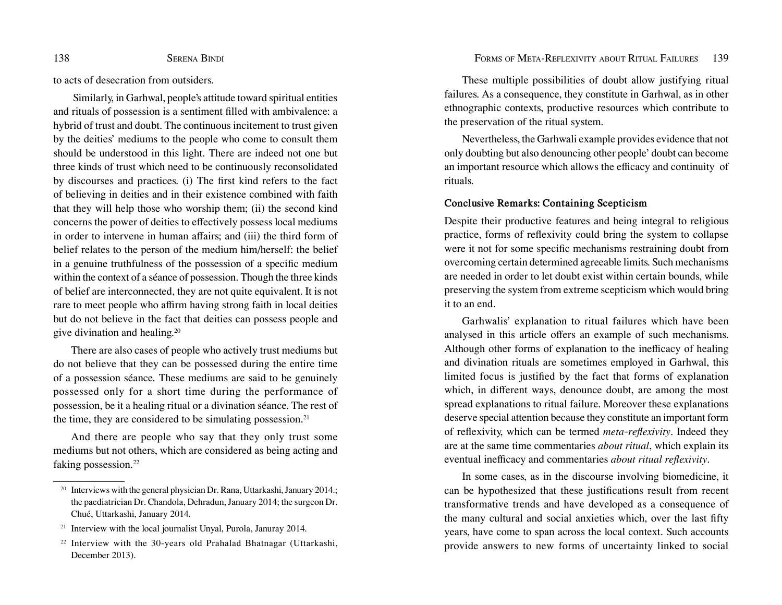to acts of desecration from outsiders.

 Similarly, in Garhwal, people's attitude toward spiritual entities and rituals of possession is a sentiment flled with ambivalence: a hybrid of trust and doubt. The continuous incitement to trust given by the deities' mediums to the people who come to consult them should be understood in this light. There are indeed not one but three kinds of trust which need to be continuously reconsolidated by discourses and practices. (i) The frst kind refers to the fact of believing in deities and in their existence combined with faith that they will help those who worship them; (ii) the second kind concerns the power of deities to efectively possess local mediums in order to intervene in human afairs; and (iii) the third form of belief relates to the person of the medium him/herself: the belief in a genuine truthfulness of the possession of a specifc medium within the context of a séance of possession. Though the three kinds of belief are interconnected, they are not quite equivalent. It is not rare to meet people who affirm having strong faith in local deities but do not believe in the fact that deities can possess people and give divination and healing.20

There are also cases of people who actively trust mediums but do not believe that they can be possessed during the entire time of a possession séance. These mediums are said to be genuinely possessed only for a short time during the performance of possession, be it a healing ritual or a divination séance. The rest of the time, they are considered to be simulating possession. $21$ 

And there are people who say that they only trust some mediums but not others, which are considered as being acting and faking possession.<sup>22</sup>

These multiple possibilities of doubt allow justifying ritual failures. As a consequence, they constitute in Garhwal, as in other ethnographic contexts, productive resources which contribute to the preservation of the ritual system.

Nevertheless, the Garhwali example provides evidence that not only doubting but also denouncing other people' doubt can become an important resource which allows the efficacy and continuity of rituals.

### **Conclusive Remarks: Containing Scepticism**

Despite their productive features and being integral to religious practice, forms of refexivity could bring the system to collapse were it not for some specifc mechanisms restraining doubt from overcoming certain determined agreeable limits. Such mechanisms are needed in order to let doubt exist within certain bounds, while preserving the system from extreme scepticism which would bring it to an end.

Garhwalis' explanation to ritual failures which have been analysed in this article offers an example of such mechanisms. Although other forms of explanation to the inefficacy of healing and divination rituals are sometimes employed in Garhwal, this limited focus is justifed by the fact that forms of explanation which, in diferent ways, denounce doubt, are among the most spread explanations to ritual failure. Moreover these explanations deserve special attention because they constitute an important form of refexivity, which can be termed *meta-refexivity*. Indeed they are at the same time commentaries *about ritual*, which explain its eventual inefficacy and commentaries *about ritual reflexivity*.

In some cases, as in the discourse involving biomedicine, it can be hypothesized that these justifcations result from recent transformative trends and have developed as a consequence of the many cultural and social anxieties which, over the last ffty years, have come to span across the local context. Such accounts provide answers to new forms of uncertainty linked to social

<sup>&</sup>lt;sup>20</sup> Interviews with the general physician Dr. Rana, Uttarkashi, January 2014.; the paediatrician Dr. Chandola, Dehradun, January 2014; the surgeon Dr. Chué, Uttarkashi, January 2014.

<sup>&</sup>lt;sup>21</sup> Interview with the local journalist Unyal, Purola, Januray 2014.

<sup>22</sup> Interview with the 30-years old Prahalad Bhatnagar (Uttarkashi, December 2013).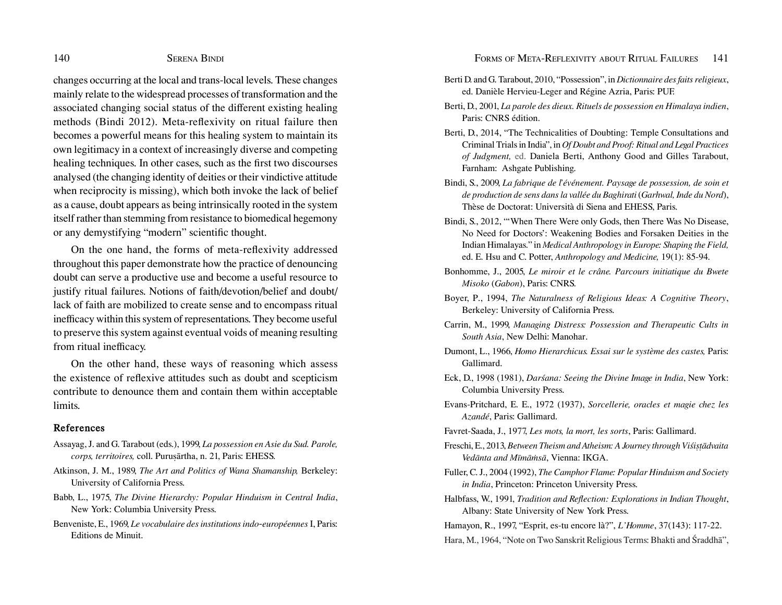#### 140 SERENA BINDI SERENA BINDI SERENA FORMS OF META-REFLEXIVITY ABOUT RITUAL FAILURES 141

changes occurring at the local and trans-local levels. These changes mainly relate to the widespread processes of transformation and the associated changing social status of the diferent existing healing methods (Bindi 2012). Meta-refexivity on ritual failure then becomes a powerful means for this healing system to maintain its own legitimacy in a context of increasingly diverse and competing healing techniques. In other cases, such as the frst two discourses analysed (the changing identity of deities or their vindictive attitude when reciprocity is missing), which both invoke the lack of belief as a cause, doubt appears as being intrinsically rooted in the system itself rather than stemming from resistance to biomedical hegemony or any demystifying "modern" scientifc thought.

On the one hand, the forms of meta-refexivity addressed throughout this paper demonstrate how the practice of denouncing doubt can serve a productive use and become a useful resource to justify ritual failures. Notions of faith/devotion/belief and doubt/ lack of faith are mobilized to create sense and to encompass ritual inefficacy within this system of representations. They become useful to preserve this system against eventual voids of meaning resulting from ritual inefficacy.

On the other hand, these ways of reasoning which assess the existence of refexive attitudes such as doubt and scepticism contribute to denounce them and contain them within acceptable limits.

#### **References**

- Assayag, J. and G. Tarabout (eds.), 1999, *La possession en Asie du Sud. Parole, corps, territoires,* coll. Puruṣārtha, n. 21, Paris: EHESS.
- Atkinson, J. M., 1989, *The Art and Politics of Wana Shamanship,* Berkeley: University of California Press.
- Babb, L., 1975, *The Divine Hierarchy: Popular Hinduism in Central India*, New York: Columbia University Press.
- Benveniste, E., 1969, *Le vocabulaire des institutions indo-européennes* I, Paris: Editions de Minuit.
- Berti D. and G. Tarabout, 2010, "Possession", in *Dictionnaire des faits religieux*, ed. Danièle Hervieu-Leger and Régine Azria, Paris: PUF.
- Berti, D., 2001, *La parole des dieux. Rituels de possession en Himalaya indien*, Paris: CNRS édition.
- Berti, D., 2014, "The Technicalities of Doubting: Temple Consultations and Criminal Trials in India", in *Of Doubt and Proof: Ritual and Legal Practices of Judgment,* ed. Daniela Berti, Anthony Good and Gilles Tarabout, Farnham: Ashgate Publishing.
- Bindi, S., 2009, *La fabrique de l'événement. Paysage de possession, de soin et de production de sens dans la vallée du Baghirati* (*Garhwal, Inde du Nord*), Thèse de Doctorat: Università di Siena and EHESS, Paris.
- Bindi, S., 2012, "'When There Were only Gods, then There Was No Disease, No Need for Doctors': Weakening Bodies and Forsaken Deities in the Indian Himalayas." in *Medical Anthropology in Europe: Shaping the Field,* ed. E. Hsu and C. Potter, *Anthropology and Medicine,* 19(1): 85-94.
- Bonhomme, J., 2005, *Le miroir et le crâne. Parcours initiatique du Bwete Misoko* (*Gabon*), Paris: CNRS.
- Boyer, P., 1994, *The Naturalness of Religious Ideas: A Cognitive Theory*, Berkeley: University of California Press.
- Carrin, M., 1999, *Managing Distress: Possession and Therapeutic Cults in South Asia*, New Delhi: Manohar.
- Dumont, L., 1966, *Homo Hierarchicus. Essai sur le système des castes,* Paris: Gallimard.
- Eck, D., 1998 (1981), *Darśana: Seeing the Divine Image in India*, New York: Columbia University Press.
- Evans-Pritchard, E. E., 1972 (1937), *Sorcellerie, oracles et magie chez les Azandé*, Paris: Gallimard.
- Favret-Saada, J., 1977, *Les mots, la mort, les sorts*, Paris: Gallimard.
- Freschi, E., 2013, *Between Theism and Atheism: A Journey through Viśiṣṭādvaita Vedānta and Mīmāṁsā*, Vienna: IKGA.
- Fuller, C. J., 2004 (1992), *The Camphor Flame: Popular Hinduism and Society in India*, Princeton: Princeton University Press.
- Halbfass, W., 1991, *Tradition and Refection: Explorations in Indian Thought*, Albany: State University of New York Press.
- Hamayon, R., 1997, "Esprit, es-tu encore là?", *L'Homme*, 37(143): 117-22.

Hara, M., 1964, "Note on Two Sanskrit Religious Terms: Bhakti and Śraddhā",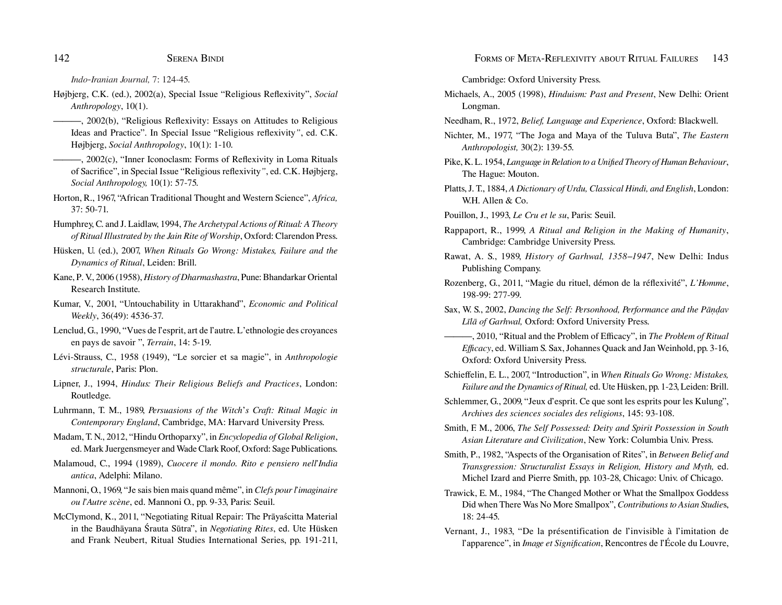*Indo-Iranian Journal,* 7: 124-45.

- Højbjerg, C.K. (ed.), 2002(a), Special Issue "Religious Refexivity", *Social Anthropology*, 10(1).
- **-**, 2002(b), "Religious Reflexivity: Essays on Attitudes to Religious Ideas and Practice". In Special Issue "Religious refexivity*"*, ed. C.K. Højbjerg, *Social Anthropology*, 10(1): 1-10.
- ———, 2002(c), "Inner Iconoclasm: Forms of Refexivity in Loma Rituals of Sacrifce", in Special Issue "Religious refexivity*"*, ed. C.K. Højbjerg, *Social Anthropology,* 10(1): 57-75.
- Horton, R., 1967, "African Traditional Thought and Western Science", *Africa,*  37: 50-71.
- Humphrey, C. and J. Laidlaw, 1994, *The Archetypal Actions of Ritual: A Theory of Ritual Illustrated by the Jain Rite of Worship*, Oxford: Clarendon Press.
- Hüsken, U. (ed.), 2007, *When Rituals Go Wrong: Mistakes, Failure and the Dynamics of Ritual*, Leiden: Brill.
- Kane, P. V., 2006 (1958), *History of Dharmashastra*, Pune: Bhandarkar Oriental Research Institute.
- Kumar, V., 2001, "Untouchability in Uttarakhand", *Economic and Political Weekly*, 36(49): 4536-37.
- Lenclud, G., 1990, "Vues de l'esprit, art de l'autre. L'ethnologie des croyances en pays de savoir ", *Terrain*, 14: 5-19.
- Lévi-Strauss, C., 1958 (1949), "Le sorcier et sa magie", in *Anthropologie structurale*, Paris: Plon.
- Lipner, J., 1994, *Hindus: Their Religious Beliefs and Practices*, London: Routledge.
- Luhrmann, T. M., 1989, *Persuasions of the Witch*'*s Craft: Ritual Magic in Contemporary England*, Cambridge, MA: Harvard University Press.
- Madam, T. N., 2012, "Hindu Orthoparxy", in *Encyclopedia of Global Religion*, ed. Mark Juergensmeyer and Wade Clark Roof, Oxford: Sage Publications.
- Malamoud, C., 1994 (1989), *Cuocere il mondo. Rito e pensiero nell'India antica*, Adelphi: Milano.
- Mannoni, O., 1969, "Je sais bien mais quand même", in *Clefs pour l'imaginaire ou l'Autre scène*, ed. Mannoni O., pp. 9-33, Paris: Seuil.
- McClymond, K., 2011, "Negotiating Ritual Repair: The Prāyaścitta Material in the Baudhāyana Śrauta Sūtra", in *Negotiating Rites*, ed. Ute Hüsken and Frank Neubert, Ritual Studies International Series, pp. 191-211,

Cambridge: Oxford University Press.

- Michaels, A., 2005 (1998), *Hinduism: Past and Present*, New Delhi: Orient Longman.
- Needham, R., 1972, *Belief, Language and Experience*, Oxford: Blackwell.
- Nichter, M., 1977, "The Joga and Maya of the Tuluva Buta", *The Eastern Anthropologist,* 30(2): 139-55.
- Pike, K. L. 1954, *Language in Relation to a Unifed Theory of Human Behaviour*, The Hague: Mouton.
- Platts, J. T., 1884, *A Dictionary of Urdu, Classical Hindi, and English*, London: W.H. Allen & Co.
- Pouillon, J., 1993, *Le Cru et le su*, Paris: Seuil.
- Rappaport, R., 1999, *A Ritual and Religion in the Making of Humanity*, Cambridge: Cambridge University Press.
- Rawat, A. S., 1989, *History of Garhwal, 1358–1947*, New Delhi: Indus Publishing Company.
- Rozenberg, G., 2011, "Magie du rituel, démon de la réfexivité", *L'Homme*, 198-99: 277-99.
- Sax, W. S., 2002, *Dancing the Self: Personhood, Performance and the Pāṇḍav Līlā of Garhwal,* Oxford: Oxford University Press.
- ———, 2010, "Ritual and the Problem of Efficacy", in *The Problem of Ritual Efcacy*, ed. William S. Sax, Johannes Quack and Jan Weinhold, pp. 3-16, Oxford: Oxford University Press.
- Schiefelin, E. L., 2007, "Introduction", in *When Rituals Go Wrong: Mistakes, Failure and the Dynamics of Ritual,* ed. Ute Hüsken, pp. 1-23, Leiden: Brill.
- Schlemmer, G., 2009, "Jeux d'esprit. Ce que sont les esprits pour les Kulung", *Archives des sciences sociales des religions*, 145: 93-108.
- Smith, F. M., 2006, *The Self Possessed: Deity and Spirit Possession in South Asian Literature and Civilization*, New York: Columbia Univ. Press.
- Smith, P., 1982, "Aspects of the Organisation of Rites", in *Between Belief and Transgression: Structuralist Essays in Religion, History and Myth,* ed. Michel Izard and Pierre Smith, pp. 103-28, Chicago: Univ. of Chicago.
- Trawick, E. M., 1984, "The Changed Mother or What the Smallpox Goddess Did when There Was No More Smallpox", *Contributions to Asian Studie*s, 18: 24-45.
- Vernant, J., 1983, "De la présentification de l'invisible à l'imitation de l'apparence", in *Image et Signifcation*, Rencontres de l'École du Louvre,